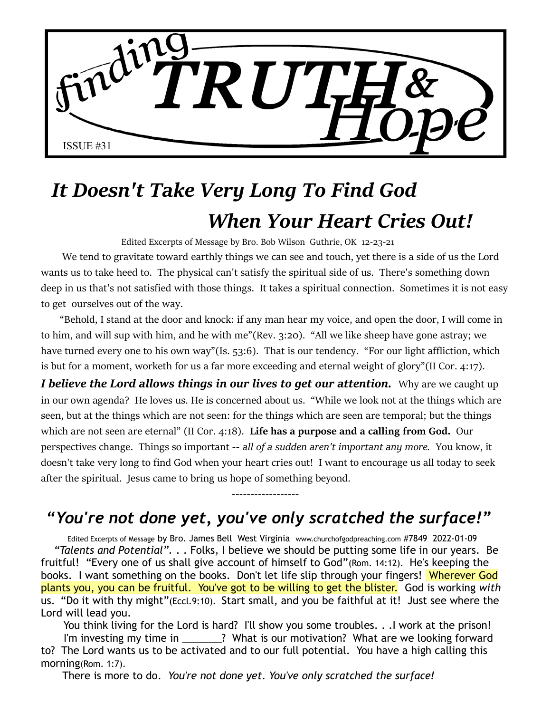

## *It Doesn't Take Very Long To Find God When Your Heart Cries Out!*

Edited Excerpts of Message by Bro. Bob Wilson Guthrie, OK 12-23-21

 We tend to gravitate toward earthly things we can see and touch, yet there is a side of us the Lord wants us to take heed to. The physical can't satisfy the spiritual side of us. There's something down deep in us that's not satisfied with those things. It takes a spiritual connection. Sometimes it is not easy to get ourselves out of the way.

 "Behold, I stand at the door and knock: if any man hear my voice, and open the door, I will come in to him, and will sup with him, and he with me"(Rev. 3:20). "All we like sheep have gone astray; we have turned every one to his own way"(Is. 53:6). That is our tendency. "For our light affliction, which is but for a moment, worketh for us a far more exceeding and eternal weight of glory"(II Cor. 4:17).

*I believe the Lord allows things in our lives to get our attention.* **Why are we caught up** in our own agenda? He loves us. He is concerned about us. "While we look not at the things which are seen, but at the things which are not seen: for the things which are seen are temporal; but the things which are not seen are eternal" (II Cor. 4:18). **Life has a purpose and a calling from God.** Our perspectives change. Things so important -- *all of a sudden aren't important any more.* You know, it doesn't take very long to find God when your heart cries out! I want to encourage us all today to seek after the spiritual. Jesus came to bring us hope of something beyond.

### *"You're not done yet, you've only scratched the surface!"*

------------------

Edited Excerpts of Message by Bro. James Bell West Virginia www.churchofgodpreaching.com #7849 2022-01-09 *"Talents and Potential".* . . Folks, I believe we should be putting some life in our years. Be fruitful! "Every one of us shall give account of himself to God"(Rom. 14:12). He's keeping the books. I want something on the books. Don't let life slip through your fingers! Wherever God plants you, you can be fruitful. You've got to be willing to get the blister. God is working *with* us. "Do it with thy might"(Eccl.9:10). Start small, and you be faithful at it! Just see where the Lord will lead you.

You think living for the Lord is hard? I'll show you some troubles. . .I work at the prison! I'm investing my time in \_\_\_\_\_\_\_? What is our motivation? What are we looking forward to? The Lord wants us to be activated and to our full potential. You have a high calling this morning(Rom. 1:7).

There is more to do. *You're not done yet. You've only scratched the surface!*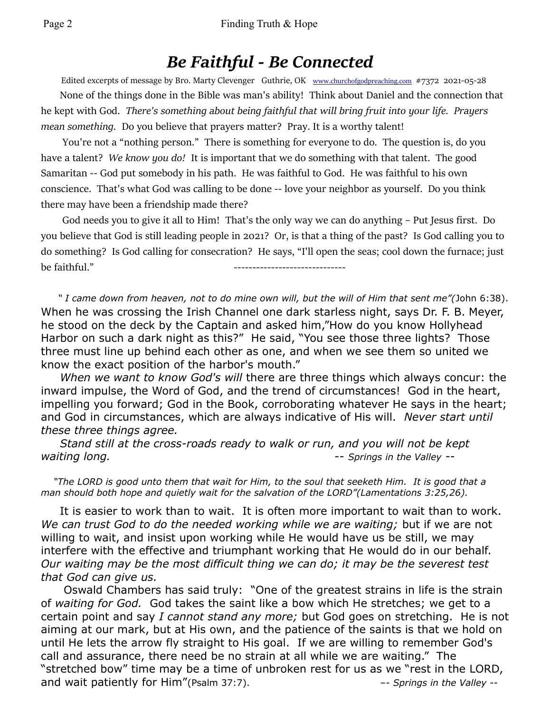### *Be Faithful - Be Connected*

Edited excerpts of message by Bro. Marty Clevenger Guthrie, OK [www.churchofgodpreaching.com](http://www.churchofgodpreaching.com/) #7372 2021-05-28 None of the things done in the Bible was man's ability! Think about Daniel and the connection that he kept with God. *There's something about being faithful that will bring fruit into your life. Prayers mean something.* Do you believe that prayers matter? Pray. It is a worthy talent!

 You're not a "nothing person." There is something for everyone to do. The question is, do you have a talent? *We know you do!* It is important that we do something with that talent. The good Samaritan -- God put somebody in his path. He was faithful to God. He was faithful to his own conscience. That's what God was calling to be done -- love your neighbor as yourself. Do you think there may have been a friendship made there?

 God needs you to give it all to Him! That's the only way we can do anything – Put Jesus first. Do you believe that God is still leading people in 2021? Or, is that a thing of the past? Is God calling you to do something? Is God calling for consecration? He says, "I'll open the seas; cool down the furnace; just be faithful."

 *" I came down from heaven, not to do mine own will, but the will of Him that sent me"(*John 6:38). When he was crossing the Irish Channel one dark starless night, says Dr. F. B. Meyer, he stood on the deck by the Captain and asked him,"How do you know Hollyhead Harbor on such a dark night as this?" He said, "You see those three lights? Those three must line up behind each other as one, and when we see them so united we know the exact position of the harbor's mouth."

 *When we want to know God's will* there are three things which always concur: the inward impulse, the Word of God, and the trend of circumstances! God in the heart, impelling you forward; God in the Book, corroborating whatever He says in the heart; and God in circumstances, which are always indicative of His will. *Never start until these three things agree.* 

 *Stand still at the cross-roads ready to walk or run, and you will not be kept waiting long. -- Springs in the Valley* --

 *"The LORD is good unto them that wait for Him, to the soul that seeketh Him. It is good that a man should both hope and quietly wait for the salvation of the LORD"(Lamentations 3:25,26).*

It is easier to work than to wait. It is often more important to wait than to work. *We can trust God to do the needed working while we are waiting;* but if we are not willing to wait, and insist upon working while He would have us be still, we may interfere with the effective and triumphant working that He would do in our behalf. *Our waiting may be the most difficult thing we can do; it may be the severest test that God can give us.*

 Oswald Chambers has said truly: "One of the greatest strains in life is the strain of *waiting for God.* God takes the saint like a bow which He stretches; we get to a certain point and say *I cannot stand any more;* but God goes on stretching. He is not aiming at our mark, but at His own, and the patience of the saints is that we hold on until He lets the arrow fly straight to His goal. If we are willing to remember God's call and assurance, there need be no strain at all while we are waiting." The "stretched bow" time may be a time of unbroken rest for us as we "rest in the LORD, and wait patiently for Him"(Psalm 37:7). The same section of the Valley --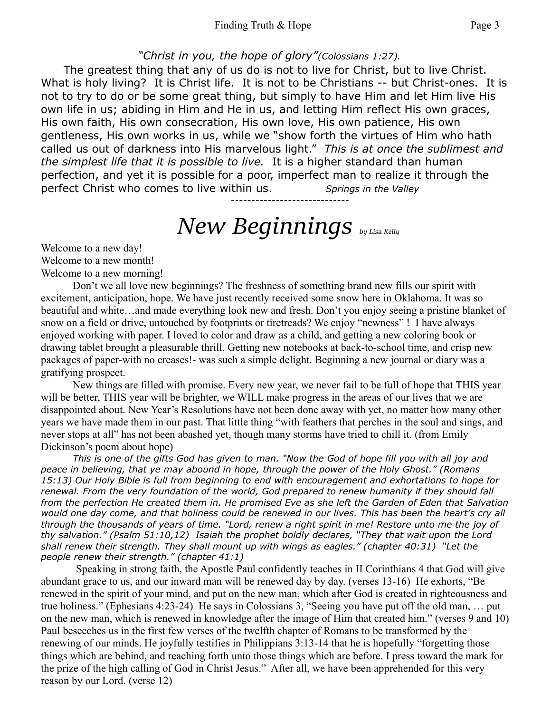#### *"Christ in you, the hope of glory"(Colossians 1:27).*

 The greatest thing that any of us do is not to live for Christ, but to live Christ. What is holy living? It is Christ life. It is not to be Christians -- but Christ-ones. It is not to try to do or be some great thing, but simply to have Him and let Him live His own life in us; abiding in Him and He in us, and letting Him reflect His own graces, His own faith, His own consecration, His own love, His own patience, His own gentleness, His own works in us, while we "show forth the virtues of Him who hath called us out of darkness into His marvelous light." *This is at once the sublimest and the simplest life that it is possible to live.* It is a higher standard than human perfection, and yet it is possible for a poor, imperfect man to realize it through the perfect Christ who comes to live within us. *Springs in the Valley* 

 *-----------------------------* 

## *New Beginnings by Lisa Kelly*

Welcome to a new day! Welcome to a new month! Welcome to a new morning!

Don't we all love new beginnings? The freshness of something brand new fills our spirit with excitement, anticipation, hope. We have just recently received some snow here in Oklahoma. It was so beautiful and white…and made everything look new and fresh. Don't you enjoy seeing a pristine blanket of snow on a field or drive, untouched by footprints or tiretreads? We enjoy "newness" ! I have always enjoyed working with paper. I loved to color and draw as a child, and getting a new coloring book or drawing tablet brought a pleasurable thrill. Getting new notebooks at back-to-school time, and crisp new packages of paper-with no creases!- was such a simple delight. Beginning a new journal or diary was a gratifying prospect.

New things are filled with promise. Every new year, we never fail to be full of hope that THIS year will be better, THIS year will be brighter, we WILL make progress in the areas of our lives that we are disappointed about. New Year's Resolutions have not been done away with yet, no matter how many other years we have made them in our past. That little thing "with feathers that perches in the soul and sings, and never stops at all" has not been abashed yet, though many storms have tried to chill it. (from Emily Dickinson's poem about hope)

*This is one of the gifts God has given to man. "Now the God of hope fill you with all joy and peace in believing, that ye may abound in hope, through the power of the Holy Ghost." (Romans 15:13) Our Holy Bible is full from beginning to end with encouragement and exhortations to hope for renewal. From the very foundation of the world, God prepared to renew humanity if they should fall from the perfection He created them in. He promised Eve as she left the Garden of Eden that Salvation would one day come, and that holiness could be renewed in our lives. This has been the heart's cry all through the thousands of years of time. "Lord, renew a right spirit in me! Restore unto me the joy of thy salvation." (Psalm 51:10,12) Isaiah the prophet boldly declares, "They that wait upon the Lord shall renew their strength. They shall mount up with wings as eagles." (chapter 40:31) "Let the people renew their strength." (chapter 41:1)*

 Speaking in strong faith, the Apostle Paul confidently teaches in II Corinthians 4 that God will give abundant grace to us, and our inward man will be renewed day by day. (verses 13-16) He exhorts, "Be renewed in the spirit of your mind, and put on the new man, which after God is created in righteousness and true holiness." (Ephesians 4:23-24) He says in Colossians 3, "Seeing you have put off the old man, … put on the new man, which is renewed in knowledge after the image of Him that created him." (verses 9 and 10) Paul beseeches us in the first few verses of the twelfth chapter of Romans to be transformed by the renewing of our minds. He joyfully testifies in Philippians 3:13-14 that he is hopefully "forgetting those things which are behind, and reaching forth unto those things which are before. I press toward the mark for the prize of the high calling of God in Christ Jesus." After all, we have been apprehended for this very reason by our Lord. (verse 12)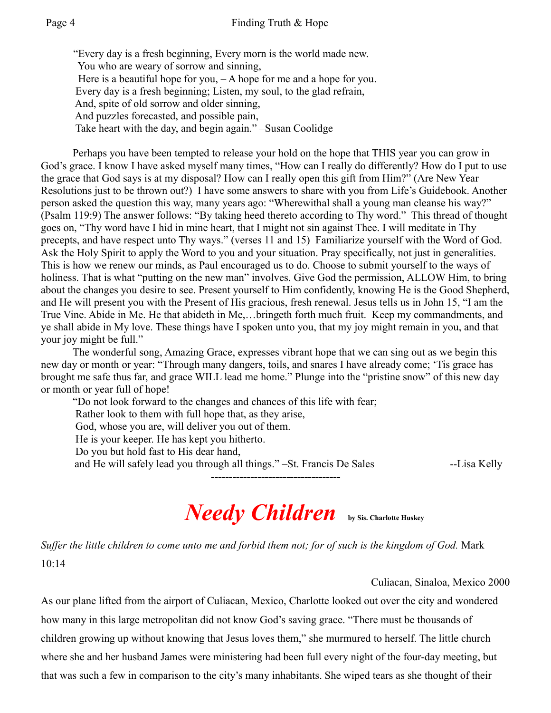"Every day is a fresh beginning, Every morn is the world made new. You who are weary of sorrow and sinning, Here is a beautiful hope for you, – A hope for me and a hope for you. Every day is a fresh beginning; Listen, my soul, to the glad refrain, And, spite of old sorrow and older sinning, And puzzles forecasted, and possible pain, Take heart with the day, and begin again." –Susan Coolidge

Perhaps you have been tempted to release your hold on the hope that THIS year you can grow in God's grace. I know I have asked myself many times, "How can I really do differently? How do I put to use the grace that God says is at my disposal? How can I really open this gift from Him?" (Are New Year Resolutions just to be thrown out?) I have some answers to share with you from Life's Guidebook. Another person asked the question this way, many years ago: "Wherewithal shall a young man cleanse his way?" (Psalm 119:9) The answer follows: "By taking heed thereto according to Thy word." This thread of thought goes on, "Thy word have I hid in mine heart, that I might not sin against Thee. I will meditate in Thy precepts, and have respect unto Thy ways." (verses 11 and 15) Familiarize yourself with the Word of God. Ask the Holy Spirit to apply the Word to you and your situation. Pray specifically, not just in generalities. This is how we renew our minds, as Paul encouraged us to do. Choose to submit yourself to the ways of holiness. That is what "putting on the new man" involves. Give God the permission, ALLOW Him, to bring about the changes you desire to see. Present yourself to Him confidently, knowing He is the Good Shepherd, and He will present you with the Present of His gracious, fresh renewal. Jesus tells us in John 15, "I am the True Vine. Abide in Me. He that abideth in Me,…bringeth forth much fruit. Keep my commandments, and ye shall abide in My love. These things have I spoken unto you, that my joy might remain in you, and that your joy might be full."

The wonderful song, Amazing Grace, expresses vibrant hope that we can sing out as we begin this new day or month or year: "Through many dangers, toils, and snares I have already come; 'Tis grace has brought me safe thus far, and grace WILL lead me home." Plunge into the "pristine snow" of this new day or month or year full of hope!

"Do not look forward to the changes and chances of this life with fear; Rather look to them with full hope that, as they arise, God, whose you are, will deliver you out of them. He is your keeper. He has kept you hitherto. Do you but hold fast to His dear hand, and He will safely lead you through all things." –St. Francis De Sales --Lisa Kelly  **------------------------------------**



*Suffer the little children to come unto me and forbid them not; for of such is the kingdom of God.* Mark 10:14

#### Culiacan, Sinaloa, Mexico 2000

As our plane lifted from the airport of Culiacan, Mexico, Charlotte looked out over the city and wondered how many in this large metropolitan did not know God's saving grace. "There must be thousands of children growing up without knowing that Jesus loves them," she murmured to herself. The little church where she and her husband James were ministering had been full every night of the four-day meeting, but that was such a few in comparison to the city's many inhabitants. She wiped tears as she thought of their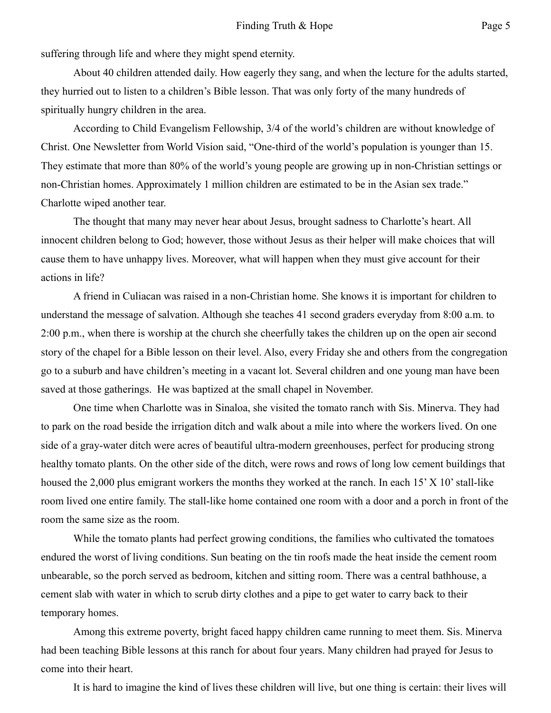suffering through life and where they might spend eternity.

About 40 children attended daily. How eagerly they sang, and when the lecture for the adults started, they hurried out to listen to a children's Bible lesson. That was only forty of the many hundreds of spiritually hungry children in the area.

According to Child Evangelism Fellowship, 3/4 of the world's children are without knowledge of Christ. One Newsletter from World Vision said, "One-third of the world's population is younger than 15. They estimate that more than 80% of the world's young people are growing up in non-Christian settings or non-Christian homes. Approximately 1 million children are estimated to be in the Asian sex trade." Charlotte wiped another tear.

The thought that many may never hear about Jesus, brought sadness to Charlotte's heart. All innocent children belong to God; however, those without Jesus as their helper will make choices that will cause them to have unhappy lives. Moreover, what will happen when they must give account for their actions in life?

A friend in Culiacan was raised in a non-Christian home. She knows it is important for children to understand the message of salvation. Although she teaches 41 second graders everyday from 8:00 a.m. to 2:00 p.m., when there is worship at the church she cheerfully takes the children up on the open air second story of the chapel for a Bible lesson on their level. Also, every Friday she and others from the congregation go to a suburb and have children's meeting in a vacant lot. Several children and one young man have been saved at those gatherings. He was baptized at the small chapel in November.

One time when Charlotte was in Sinaloa, she visited the tomato ranch with Sis. Minerva. They had to park on the road beside the irrigation ditch and walk about a mile into where the workers lived. On one side of a gray-water ditch were acres of beautiful ultra-modern greenhouses, perfect for producing strong healthy tomato plants. On the other side of the ditch, were rows and rows of long low cement buildings that housed the 2,000 plus emigrant workers the months they worked at the ranch. In each 15' X 10' stall-like room lived one entire family. The stall-like home contained one room with a door and a porch in front of the room the same size as the room.

While the tomato plants had perfect growing conditions, the families who cultivated the tomatoes endured the worst of living conditions. Sun beating on the tin roofs made the heat inside the cement room unbearable, so the porch served as bedroom, kitchen and sitting room. There was a central bathhouse, a cement slab with water in which to scrub dirty clothes and a pipe to get water to carry back to their temporary homes.

Among this extreme poverty, bright faced happy children came running to meet them. Sis. Minerva had been teaching Bible lessons at this ranch for about four years. Many children had prayed for Jesus to come into their heart.

It is hard to imagine the kind of lives these children will live, but one thing is certain: their lives will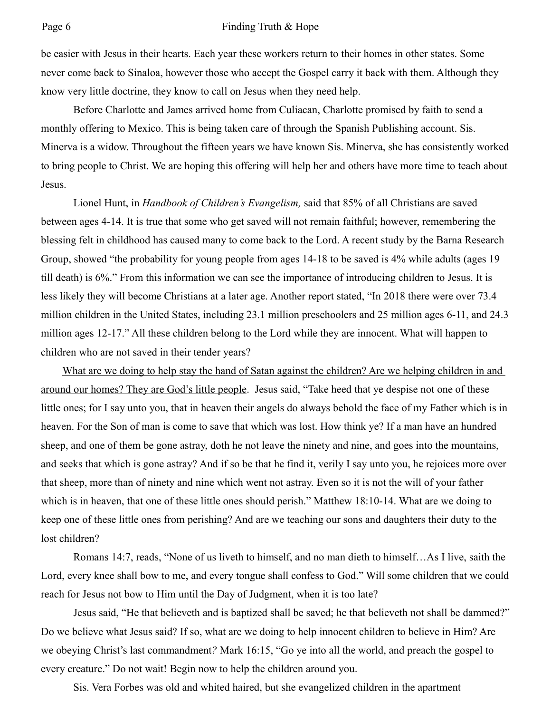be easier with Jesus in their hearts. Each year these workers return to their homes in other states. Some never come back to Sinaloa, however those who accept the Gospel carry it back with them. Although they know very little doctrine, they know to call on Jesus when they need help.

Before Charlotte and James arrived home from Culiacan, Charlotte promised by faith to send a monthly offering to Mexico. This is being taken care of through the Spanish Publishing account. Sis. Minerva is a widow. Throughout the fifteen years we have known Sis. Minerva, she has consistently worked to bring people to Christ. We are hoping this offering will help her and others have more time to teach about Jesus.

Lionel Hunt, in *Handbook of Children's Evangelism,* said that 85% of all Christians are saved between ages 4-14. It is true that some who get saved will not remain faithful; however, remembering the blessing felt in childhood has caused many to come back to the Lord. A recent study by the Barna Research Group, showed "the probability for young people from ages 14-18 to be saved is 4% while adults (ages 19 till death) is 6%." From this information we can see the importance of introducing children to Jesus. It is less likely they will become Christians at a later age. Another report stated, "In 2018 there were over 73.4 million children in the United States, including 23.1 million preschoolers and 25 million ages 6-11, and 24.3 million ages 12-17." All these children belong to the Lord while they are innocent. What will happen to children who are not saved in their tender years?

What are we doing to help stay the hand of Satan against the children? Are we helping children in and around our homes? They are God's little people. Jesus said, "Take heed that ye despise not one of these little ones; for I say unto you, that in heaven their angels do always behold the face of my Father which is in heaven. For the Son of man is come to save that which was lost. How think ye? If a man have an hundred sheep, and one of them be gone astray, doth he not leave the ninety and nine, and goes into the mountains, and seeks that which is gone astray? And if so be that he find it, verily I say unto you, he rejoices more over that sheep, more than of ninety and nine which went not astray. Even so it is not the will of your father which is in heaven, that one of these little ones should perish." Matthew 18:10-14. What are we doing to keep one of these little ones from perishing? And are we teaching our sons and daughters their duty to the lost children?

Romans 14:7, reads, "None of us liveth to himself, and no man dieth to himself…As I live, saith the Lord, every knee shall bow to me, and every tongue shall confess to God." Will some children that we could reach for Jesus not bow to Him until the Day of Judgment, when it is too late?

Jesus said, "He that believeth and is baptized shall be saved; he that believeth not shall be dammed?" Do we believe what Jesus said? If so, what are we doing to help innocent children to believe in Him? Are we obeying Christ's last commandment*?* Mark 16:15, "Go ye into all the world, and preach the gospel to every creature." Do not wait! Begin now to help the children around you.

Sis. Vera Forbes was old and whited haired, but she evangelized children in the apartment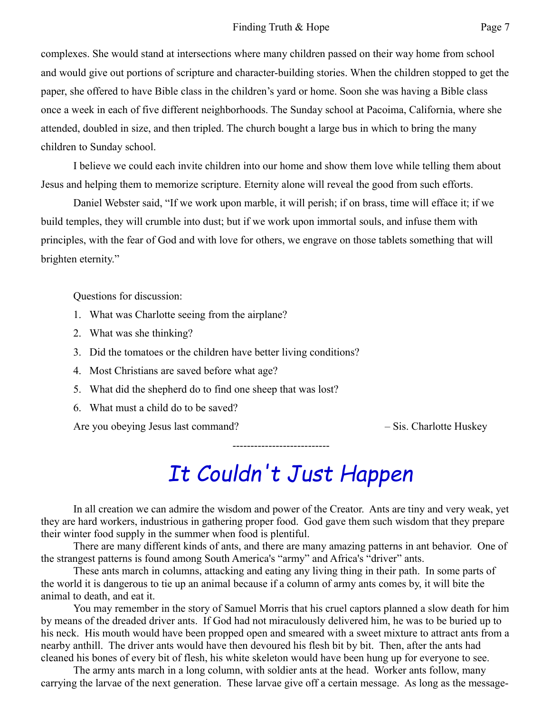complexes. She would stand at intersections where many children passed on their way home from school and would give out portions of scripture and character-building stories. When the children stopped to get the paper, she offered to have Bible class in the children's yard or home. Soon she was having a Bible class once a week in each of five different neighborhoods. The Sunday school at Pacoima, California, where she attended, doubled in size, and then tripled. The church bought a large bus in which to bring the many children to Sunday school.

I believe we could each invite children into our home and show them love while telling them about Jesus and helping them to memorize scripture. Eternity alone will reveal the good from such efforts.

Daniel Webster said, "If we work upon marble, it will perish; if on brass, time will efface it; if we build temples, they will crumble into dust; but if we work upon immortal souls, and infuse them with principles, with the fear of God and with love for others, we engrave on those tablets something that will brighten eternity."

Questions for discussion:

- 1. What was Charlotte seeing from the airplane?
- 2. What was she thinking?
- 3. Did the tomatoes or the children have better living conditions?
- 4. Most Christians are saved before what age?
- 5. What did the shepherd do to find one sheep that was lost?

---------------------------

6. What must a child do to be saved?

Are you obeying Jesus last command?  $-Sis$ . Charlotte Huskey

# *It Couldn't Just Happen*

In all creation we can admire the wisdom and power of the Creator. Ants are tiny and very weak, yet they are hard workers, industrious in gathering proper food. God gave them such wisdom that they prepare their winter food supply in the summer when food is plentiful.

There are many different kinds of ants, and there are many amazing patterns in ant behavior. One of the strangest patterns is found among South America's "army" and Africa's "driver" ants.

These ants march in columns, attacking and eating any living thing in their path. In some parts of the world it is dangerous to tie up an animal because if a column of army ants comes by, it will bite the animal to death, and eat it.

You may remember in the story of Samuel Morris that his cruel captors planned a slow death for him by means of the dreaded driver ants. If God had not miraculously delivered him, he was to be buried up to his neck. His mouth would have been propped open and smeared with a sweet mixture to attract ants from a nearby anthill. The driver ants would have then devoured his flesh bit by bit. Then, after the ants had cleaned his bones of every bit of flesh, his white skeleton would have been hung up for everyone to see.

The army ants march in a long column, with soldier ants at the head. Worker ants follow, many carrying the larvae of the next generation. These larvae give off a certain message. As long as the message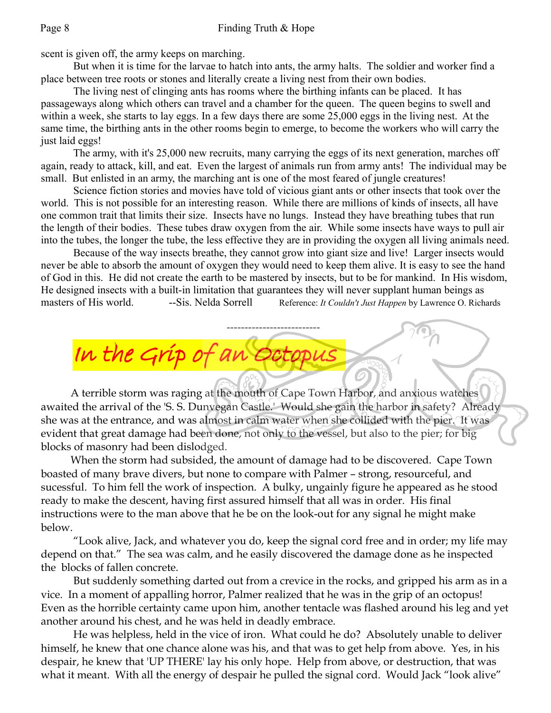scent is given off, the army keeps on marching.

In the  $G$ 

But when it is time for the larvae to hatch into ants, the army halts. The soldier and worker find a place between tree roots or stones and literally create a living nest from their own bodies.

The living nest of clinging ants has rooms where the birthing infants can be placed. It has passageways along which others can travel and a chamber for the queen. The queen begins to swell and within a week, she starts to lay eggs. In a few days there are some 25,000 eggs in the living nest. At the same time, the birthing ants in the other rooms begin to emerge, to become the workers who will carry the just laid eggs!

The army, with it's 25,000 new recruits, many carrying the eggs of its next generation, marches off again, ready to attack, kill, and eat. Even the largest of animals run from army ants! The individual may be small. But enlisted in an army, the marching ant is one of the most feared of jungle creatures!

Science fiction stories and movies have told of vicious giant ants or other insects that took over the world. This is not possible for an interesting reason. While there are millions of kinds of insects, all have one common trait that limits their size. Insects have no lungs. Instead they have breathing tubes that run the length of their bodies. These tubes draw oxygen from the air. While some insects have ways to pull air into the tubes, the longer the tube, the less effective they are in providing the oxygen all living animals need.

Because of the way insects breathe, they cannot grow into giant size and live! Larger insects would never be able to absorb the amount of oxygen they would need to keep them alive. It is easy to see the hand of God in this. He did not create the earth to be mastered by insects, but to be for mankind. In His wisdom, He designed insects with a built-in limitation that guarantees they will never supplant human beings as masters of His world. --Sis. Nelda Sorrell Reference: *It Couldn't Just Happen* by Lawrence O. Richards

--------------------------

 A terrible storm was raging at the mouth of Cape Town Harbor, and anxious watches awaited the arrival of the 'S. S. Dunvegan Castle.' Would she gain the harbor in safety? Already she was at the entrance, and was almost in calm water when she collided with the pier. It was evident that great damage had been done, not only to the vessel, but also to the pier; for big blocks of masonry had been dislodged.

 When the storm had subsided, the amount of damage had to be discovered. Cape Town boasted of many brave divers, but none to compare with Palmer – strong, resourceful, and sucessful. To him fell the work of inspection. A bulky, ungainly figure he appeared as he stood ready to make the descent, having first assured himself that all was in order. His final instructions were to the man above that he be on the look-out for any signal he might make below.

 "Look alive, Jack, and whatever you do, keep the signal cord free and in order; my life may depend on that." The sea was calm, and he easily discovered the damage done as he inspected the blocks of fallen concrete.

 But suddenly something darted out from a crevice in the rocks, and gripped his arm as in a vice. In a moment of appalling horror, Palmer realized that he was in the grip of an octopus! Even as the horrible certainty came upon him, another tentacle was flashed around his leg and yet another around his chest, and he was held in deadly embrace.

 He was helpless, held in the vice of iron. What could he do? Absolutely unable to deliver himself, he knew that one chance alone was his, and that was to get help from above. Yes, in his despair, he knew that 'UP THERE' lay his only hope. Help from above, or destruction, that was what it meant. With all the energy of despair he pulled the signal cord. Would Jack "look alive"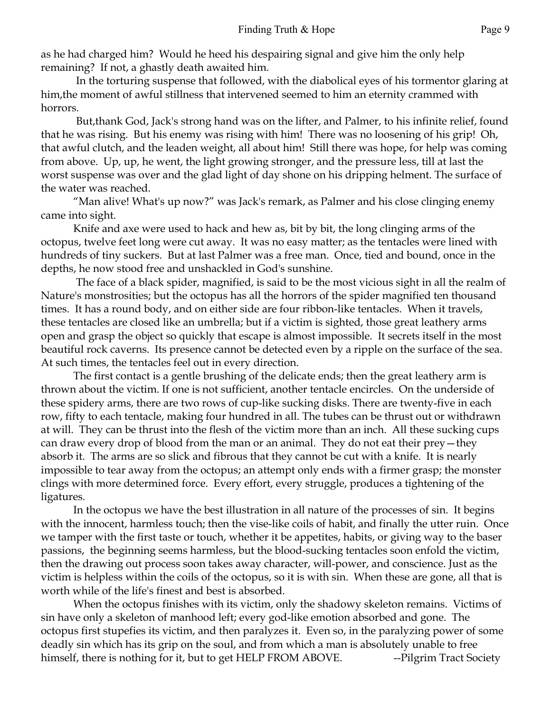as he had charged him? Would he heed his despairing signal and give him the only help remaining? If not, a ghastly death awaited him.

 In the torturing suspense that followed, with the diabolical eyes of his tormentor glaring at him,the moment of awful stillness that intervened seemed to him an eternity crammed with horrors.

 But,thank God, Jack's strong hand was on the lifter, and Palmer, to his infinite relief, found that he was rising. But his enemy was rising with him! There was no loosening of his grip! Oh, that awful clutch, and the leaden weight, all about him! Still there was hope, for help was coming from above. Up, up, he went, the light growing stronger, and the pressure less, till at last the worst suspense was over and the glad light of day shone on his dripping helment. The surface of the water was reached.

 "Man alive! What's up now?" was Jack's remark, as Palmer and his close clinging enemy came into sight.

 Knife and axe were used to hack and hew as, bit by bit, the long clinging arms of the octopus, twelve feet long were cut away. It was no easy matter; as the tentacles were lined with hundreds of tiny suckers. But at last Palmer was a free man. Once, tied and bound, once in the depths, he now stood free and unshackled in God's sunshine.

 The face of a black spider, magnified, is said to be the most vicious sight in all the realm of Nature's monstrosities; but the octopus has all the horrors of the spider magnified ten thousand times. It has a round body, and on either side are four ribbon-like tentacles. When it travels, these tentacles are closed like an umbrella; but if a victim is sighted, those great leathery arms open and grasp the object so quickly that escape is almost impossible. It secrets itself in the most beautiful rock caverns. Its presence cannot be detected even by a ripple on the surface of the sea. At such times, the tentacles feel out in every direction.

 The first contact is a gentle brushing of the delicate ends; then the great leathery arm is thrown about the victim. If one is not sufficient, another tentacle encircles. On the underside of these spidery arms, there are two rows of cup-like sucking disks. There are twenty-five in each row, fifty to each tentacle, making four hundred in all. The tubes can be thrust out or withdrawn at will. They can be thrust into the flesh of the victim more than an inch. All these sucking cups can draw every drop of blood from the man or an animal. They do not eat their prey—they absorb it. The arms are so slick and fibrous that they cannot be cut with a knife. It is nearly impossible to tear away from the octopus; an attempt only ends with a firmer grasp; the monster clings with more determined force. Every effort, every struggle, produces a tightening of the ligatures.

 In the octopus we have the best illustration in all nature of the processes of sin. It begins with the innocent, harmless touch; then the vise-like coils of habit, and finally the utter ruin. Once we tamper with the first taste or touch, whether it be appetites, habits, or giving way to the baser passions, the beginning seems harmless, but the blood-sucking tentacles soon enfold the victim, then the drawing out process soon takes away character, will-power, and conscience. Just as the victim is helpless within the coils of the octopus, so it is with sin. When these are gone, all that is worth while of the life's finest and best is absorbed.

 When the octopus finishes with its victim, only the shadowy skeleton remains. Victims of sin have only a skeleton of manhood left; every god-like emotion absorbed and gone. The octopus first stupefies its victim, and then paralyzes it. Even so, in the paralyzing power of some deadly sin which has its grip on the soul, and from which a man is absolutely unable to free himself, there is nothing for it, but to get HELP FROM ABOVE. --Pilgrim Tract Society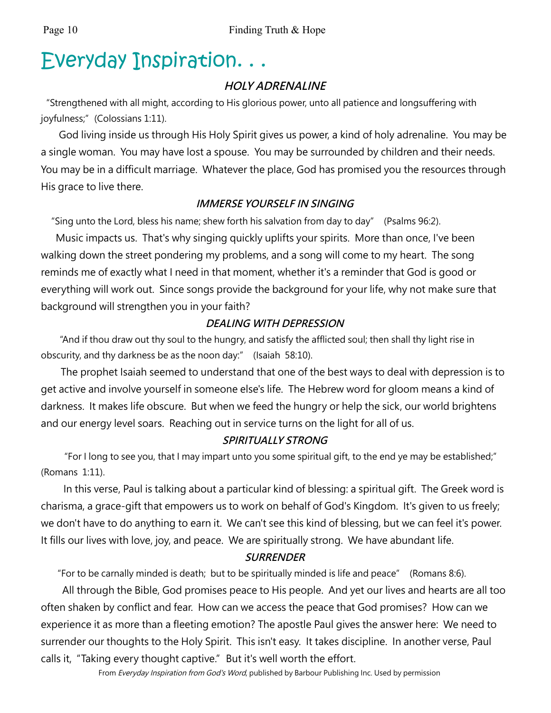# Everyday Inspiration. . .

#### **HOLY ADRENALINE**

"Strengthened with all might, according to His glorious power, unto all patience and longsuffering with joyfulness;" (Colossians 1:11).

 God living inside us through His Holy Spirit gives us power, a kind of holy adrenaline. You may be a single woman. You may have lost a spouse. You may be surrounded by children and their needs. You may be in a difficult marriage. Whatever the place, God has promised you the resources through His grace to live there.

#### **IMMERSE YOURSELF IN SINGING**

"Sing unto the Lord, bless his name; shew forth his salvation from day to day" (Psalms 96:2).

 Music impacts us. That's why singing quickly uplifts your spirits. More than once, I've been walking down the street pondering my problems, and a song will come to my heart. The song reminds me of exactly what I need in that moment, whether it's a reminder that God is good or everything will work out. Since songs provide the background for your life, why not make sure that background will strengthen you in your faith?

#### **DEALING WITH DEPRESSION**

"And if thou draw out thy soul to the hungry, and satisfy the afflicted soul; then shall thy light rise in obscurity, and thy darkness be as the noon day:" (Isaiah 58:10).

 The prophet Isaiah seemed to understand that one of the best ways to deal with depression is to get active and involve yourself in someone else's life. The Hebrew word for gloom means a kind of darkness. It makes life obscure. But when we feed the hungry or help the sick, our world brightens and our energy level soars. Reaching out in service turns on the light for all of us.

#### **SPIRITUALLY STRONG**

"For I long to see you, that I may impart unto you some spiritual gift, to the end ye may be established;" (Romans 1:11).

 In this verse, Paul is talking about a particular kind of blessing: a spiritual gift. The Greek word is charisma, a grace-gift that empowers us to work on behalf of God's Kingdom. It's given to us freely; we don't have to do anything to earn it. We can't see this kind of blessing, but we can feel it's power. It fills our lives with love, joy, and peace. We are spiritually strong. We have abundant life.

#### **SURRENDER**

"For to be carnally minded is death; but to be spiritually minded is life and peace" (Romans 8:6).

 All through the Bible, God promises peace to His people. And yet our lives and hearts are all too often shaken by conflict and fear. How can we access the peace that God promises? How can we experience it as more than a fleeting emotion? The apostle Paul gives the answer here: We need to surrender our thoughts to the Holy Spirit. This isn't easy. It takes discipline. In another verse, Paul calls it, "Taking every thought captive." But it's well worth the effort.

From Everyday Inspiration from God's Word, published by Barbour Publishing Inc. Used by permission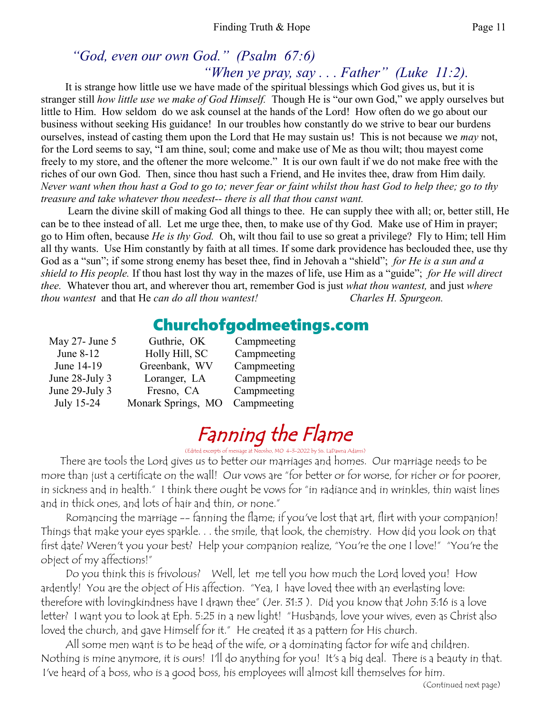### *"God, even our own God." (Psalm 67:6) "When ye pray, say . . . Father" (Luke 11:2).*

 It is strange how little use we have made of the spiritual blessings which God gives us, but it is stranger still *how little use we make of God Himself.* Though He is "our own God," we apply ourselves but little to Him. How seldom do we ask counsel at the hands of the Lord! How often do we go about our business without seeking His guidance! In our troubles how constantly do we strive to bear our burdens ourselves, instead of casting them upon the Lord that He may sustain us! This is not because we *may* not, for the Lord seems to say, "I am thine, soul; come and make use of Me as thou wilt; thou mayest come freely to my store, and the oftener the more welcome." It is our own fault if we do not make free with the riches of our own God. Then, since thou hast such a Friend, and He invites thee, draw from Him daily. *Never want when thou hast a God to go to; never fear or faint whilst thou hast God to help thee; go to thy treasure and take whatever thou needest-- there is all that thou canst want.* 

 Learn the divine skill of making God all things to thee. He can supply thee with all; or, better still, He can be to thee instead of all. Let me urge thee, then, to make use of thy God. Make use of Him in prayer; go to Him often, because *He is thy God.* Oh, wilt thou fail to use so great a privilege? Fly to Him; tell Him all thy wants. Use Him constantly by faith at all times. If some dark providence has beclouded thee, use thy God as a "sun"; if some strong enemy has beset thee, find in Jehovah a "shield"; *for He is a sun and a shield to His people.* If thou hast lost thy way in the mazes of life, use Him as a "guide"; *for He will direct thee.* Whatever thou art, and wherever thou art, remember God is just *what thou wantest,* and just *where thou wantest* and that He *can do all thou wantest! Charles H. Spurgeon.*

### Churchofgodmeetings.com

| May $27$ - June 5 | Guthrie, OK        | Campmeeting |
|-------------------|--------------------|-------------|
| June 8-12         | Holly Hill, SC     | Campmeeting |
| June 14-19        | Greenbank, WV      | Campmeeting |
| June 28-July 3    | Loranger, LA       | Campmeeting |
| June 29-July 3    | Fresno, CA         | Campmeeting |
| July 15-24        | Monark Springs, MO | Campmeeting |
|                   |                    |             |

## Fanning the Flame

(Edited excerpts of message at Neosho, MO 4-3-2022 by Sis. LaDawna Adams)

 There are tools the Lord gives us to better our marriages and homes. Our marriage needs to be more than just a certificate on the wall! Our vows are "for better or for worse, for richer or for poorer, in sickness and in health." I think there ought be vows for "in radiance and in wrinkles, thin waist lines and in thick ones, and lots of hair and thin, or none."

 Romancing the marriage -- fanning the flame; if you've lost that art, flirt with your companion! Things that make your eyes sparkle. . . the smile, that look, the chemistry. How did you look on that first date? Weren't you your best? Help your companion realize, "You're the one I love!" "You're the object of my affections!"

 Do you think this is frivolous? Well, let me tell you how much the Lord loved you! How ardently! You are the object of His affection. "Yea, I have loved thee with an everlasting love: therefore with lovingkindness have I drawn thee" (Jer. 31:3 ). Did you know that John 3:16 is a love letter? I want you to look at Eph. 5:25 in a new light! "Husbands, love your wives, even as Christ also loved the church, and gave Himself for it." He created it as a pattern for His church.

 All some men want is to be head of the wife, or a dominating factor for wife and children. Nothing is mine anymore, it is ours! I'll do anything for you! It's a big deal. There is a beauty in that. I've heard of a boss, who is a good boss, his employees will almost kill themselves for him.